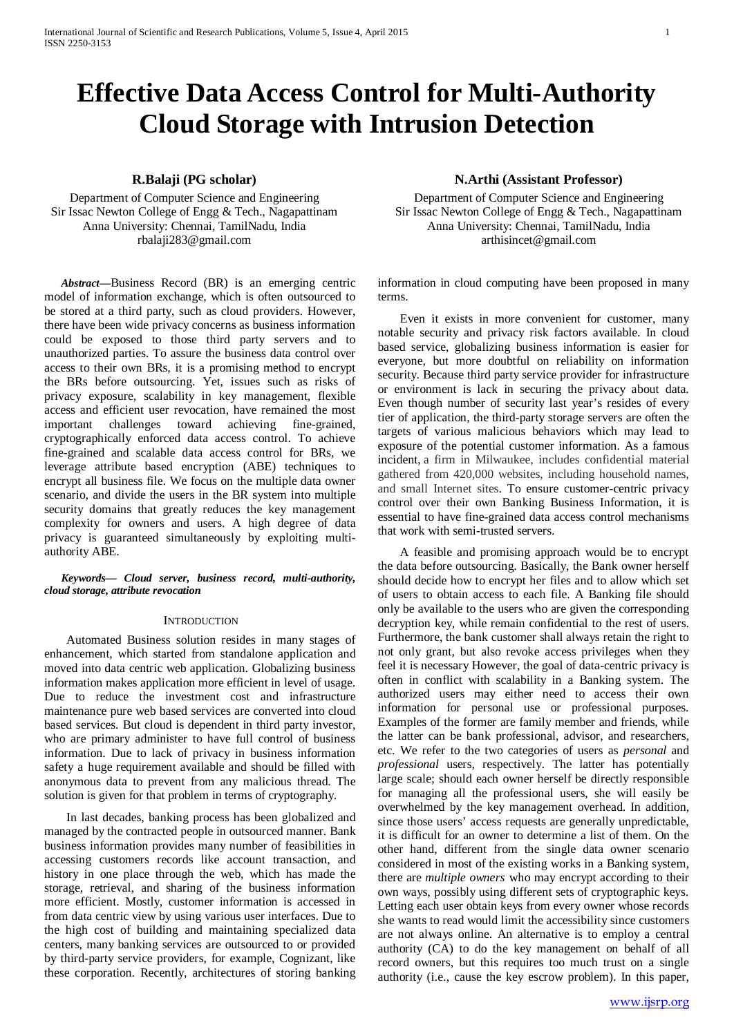# **Effective Data Access Control for Multi-Authority Cloud Storage with Intrusion Detection**

## **R.Balaji (PG scholar)**

Department of Computer Science and Engineering Sir Issac Newton College of Engg & Tech., Nagapattinam Anna University: Chennai, TamilNadu, India rbalaji283@gmail.com

*Abstract***—**Business Record (BR) is an emerging centric model of information exchange, which is often outsourced to be stored at a third party, such as cloud providers. However, there have been wide privacy concerns as business information could be exposed to those third party servers and to unauthorized parties. To assure the business data control over access to their own BRs, it is a promising method to encrypt the BRs before outsourcing. Yet, issues such as risks of privacy exposure, scalability in key management, flexible access and efficient user revocation, have remained the most important challenges toward achieving fine-grained, cryptographically enforced data access control. To achieve fine-grained and scalable data access control for BRs, we leverage attribute based encryption (ABE) techniques to encrypt all business file. We focus on the multiple data owner scenario, and divide the users in the BR system into multiple security domains that greatly reduces the key management complexity for owners and users. A high degree of data privacy is guaranteed simultaneously by exploiting multiauthority ABE.

## *Keywords— Cloud server, business record, multi-authority, cloud storage, attribute revocation*

#### **INTRODUCTION**

Automated Business solution resides in many stages of enhancement, which started from standalone application and moved into data centric web application. Globalizing business information makes application more efficient in level of usage. Due to reduce the investment cost and infrastructure maintenance pure web based services are converted into cloud based services. But cloud is dependent in third party investor, who are primary administer to have full control of business information. Due to lack of privacy in business information safety a huge requirement available and should be filled with anonymous data to prevent from any malicious thread. The solution is given for that problem in terms of cryptography.

In last decades, banking process has been globalized and managed by the contracted people in outsourced manner. Bank business information provides many number of feasibilities in accessing customers records like account transaction, and history in one place through the web, which has made the storage, retrieval, and sharing of the business information more efficient. Mostly, customer information is accessed in from data centric view by using various user interfaces. Due to the high cost of building and maintaining specialized data centers, many banking services are outsourced to or provided by third-party service providers, for example, Cognizant, like these corporation. Recently, architectures of storing banking

## **N.Arthi (Assistant Professor)**

Department of Computer Science and Engineering Sir Issac Newton College of Engg & Tech., Nagapattinam Anna University: Chennai, TamilNadu, India arthisincet@gmail.com

information in cloud computing have been proposed in many terms.

Even it exists in more convenient for customer, many notable security and privacy risk factors available. In cloud based service, globalizing business information is easier for everyone, but more doubtful on reliability on information security. Because third party service provider for infrastructure or environment is lack in securing the privacy about data. Even though number of security last year's resides of every tier of application, the third-party storage servers are often the targets of various malicious behaviors which may lead to exposure of the potential customer information. As a famous incident, a firm in Milwaukee, includes confidential material gathered from 420,000 websites, including household names, and small Internet sites. To ensure customer-centric privacy control over their own Banking Business Information, it is essential to have fine-grained data access control mechanisms that work with semi-trusted servers.

A feasible and promising approach would be to encrypt the data before outsourcing. Basically, the Bank owner herself should decide how to encrypt her files and to allow which set of users to obtain access to each file. A Banking file should only be available to the users who are given the corresponding decryption key, while remain confidential to the rest of users. Furthermore, the bank customer shall always retain the right to not only grant, but also revoke access privileges when they feel it is necessary However, the goal of data-centric privacy is often in conflict with scalability in a Banking system. The authorized users may either need to access their own information for personal use or professional purposes. Examples of the former are family member and friends, while the latter can be bank professional, advisor, and researchers, etc. We refer to the two categories of users as *personal* and *professional* users, respectively. The latter has potentially large scale; should each owner herself be directly responsible for managing all the professional users, she will easily be overwhelmed by the key management overhead. In addition, since those users' access requests are generally unpredictable, it is difficult for an owner to determine a list of them. On the other hand, different from the single data owner scenario considered in most of the existing works in a Banking system, there are *multiple owners* who may encrypt according to their own ways, possibly using different sets of cryptographic keys. Letting each user obtain keys from every owner whose records she wants to read would limit the accessibility since customers are not always online. An alternative is to employ a central authority (CA) to do the key management on behalf of all record owners, but this requires too much trust on a single authority (i.e., cause the key escrow problem). In this paper,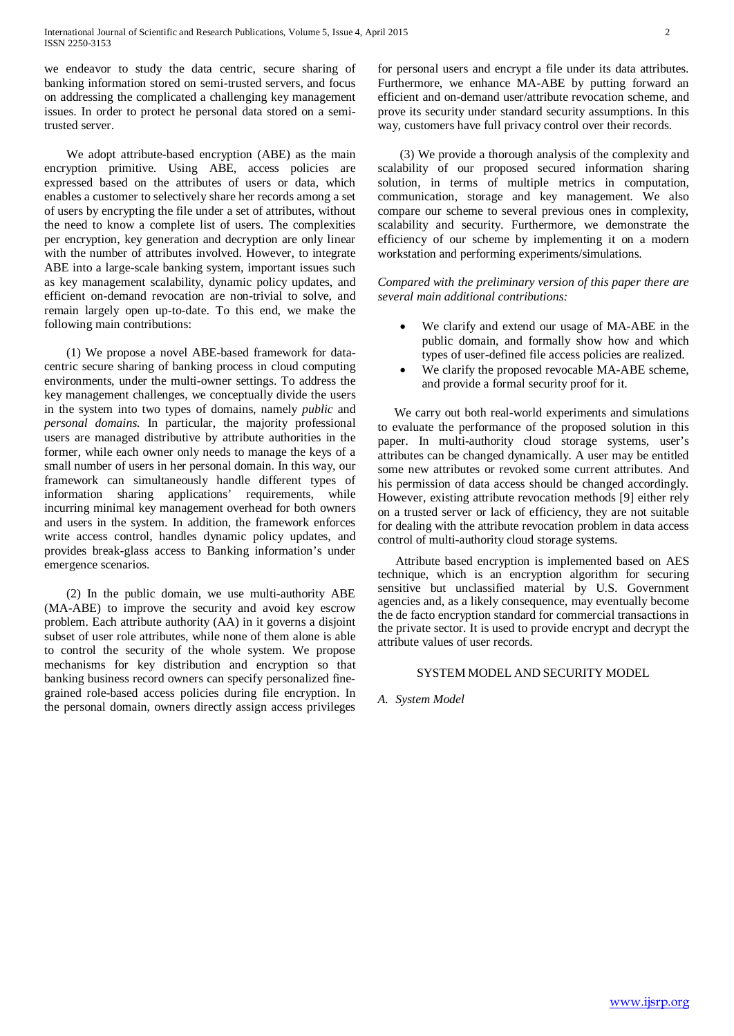we endeavor to study the data centric, secure sharing of banking information stored on semi-trusted servers, and focus on addressing the complicated a challenging key management issues. In order to protect he personal data stored on a semitrusted server.

We adopt attribute-based encryption (ABE) as the main encryption primitive. Using ABE, access policies are expressed based on the attributes of users or data, which enables a customer to selectively share her records among a set of users by encrypting the file under a set of attributes, without the need to know a complete list of users. The complexities per encryption, key generation and decryption are only linear with the number of attributes involved. However, to integrate ABE into a large-scale banking system, important issues such as key management scalability, dynamic policy updates, and efficient on-demand revocation are non-trivial to solve, and remain largely open up-to-date. To this end, we make the following main contributions:

(1) We propose a novel ABE-based framework for datacentric secure sharing of banking process in cloud computing environments, under the multi-owner settings. To address the key management challenges, we conceptually divide the users in the system into two types of domains, namely *public* and *personal domains*. In particular, the majority professional users are managed distributive by attribute authorities in the former, while each owner only needs to manage the keys of a small number of users in her personal domain. In this way, our framework can simultaneously handle different types of information sharing applications' requirements, while incurring minimal key management overhead for both owners and users in the system. In addition, the framework enforces write access control, handles dynamic policy updates, and provides break-glass access to Banking information's under emergence scenarios.

(2) In the public domain, we use multi-authority ABE (MA-ABE) to improve the security and avoid key escrow problem. Each attribute authority (AA) in it governs a disjoint subset of user role attributes, while none of them alone is able to control the security of the whole system. We propose mechanisms for key distribution and encryption so that banking business record owners can specify personalized finegrained role-based access policies during file encryption. In the personal domain, owners directly assign access privileges

for personal users and encrypt a file under its data attributes. Furthermore, we enhance MA-ABE by putting forward an efficient and on-demand user/attribute revocation scheme, and prove its security under standard security assumptions. In this way, customers have full privacy control over their records.

(3) We provide a thorough analysis of the complexity and scalability of our proposed secured information sharing solution, in terms of multiple metrics in computation, communication, storage and key management. We also compare our scheme to several previous ones in complexity, scalability and security. Furthermore, we demonstrate the efficiency of our scheme by implementing it on a modern workstation and performing experiments/simulations.

*Compared with the preliminary version of this paper there are several main additional contributions:*

- We clarify and extend our usage of MA-ABE in the public domain, and formally show how and which types of user-defined file access policies are realized.
- We clarify the proposed revocable MA-ABE scheme, and provide a formal security proof for it.

We carry out both real-world experiments and simulations to evaluate the performance of the proposed solution in this paper. In multi-authority cloud storage systems, user's attributes can be changed dynamically. A user may be entitled some new attributes or revoked some current attributes. And his permission of data access should be changed accordingly. However, existing attribute revocation methods [9] either rely on a trusted server or lack of efficiency, they are not suitable for dealing with the attribute revocation problem in data access control of multi-authority cloud storage systems.

Attribute based encryption is implemented based on AES technique, which is an encryption algorithm for securing sensitive but unclassified material by U.S. Government agencies and, as a likely consequence, may eventually become the de facto encryption standard for commercial transactions in the private sector. It is used to provide encrypt and decrypt the attribute values of user records.

#### SYSTEM MODEL AND SECURITY MODEL

*A. System Model*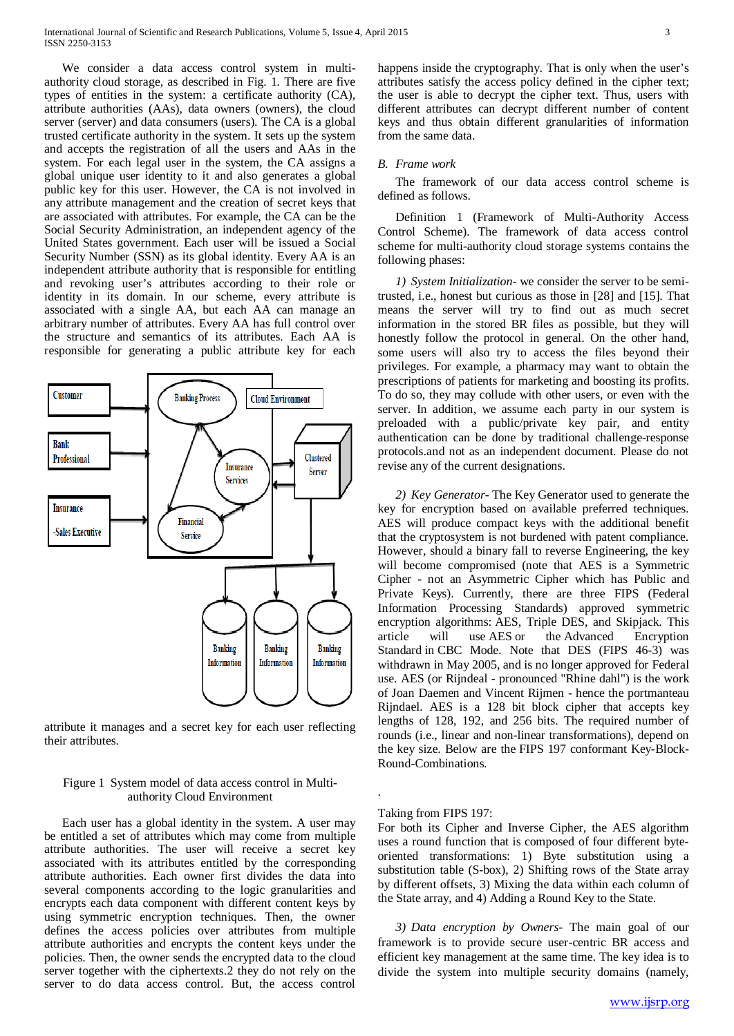We consider a data access control system in multiauthority cloud storage, as described in Fig. 1. There are five types of entities in the system: a certificate authority (CA), attribute authorities (AAs), data owners (owners), the cloud server (server) and data consumers (users). The CA is a global trusted certificate authority in the system. It sets up the system and accepts the registration of all the users and AAs in the system. For each legal user in the system, the CA assigns a global unique user identity to it and also generates a global public key for this user. However, the CA is not involved in any attribute management and the creation of secret keys that are associated with attributes. For example, the CA can be the Social Security Administration, an independent agency of the United States government. Each user will be issued a Social Security Number (SSN) as its global identity. Every AA is an independent attribute authority that is responsible for entitling and revoking user's attributes according to their role or identity in its domain. In our scheme, every attribute is associated with a single AA, but each AA can manage an arbitrary number of attributes. Every AA has full control over the structure and semantics of its attributes. Each AA is responsible for generating a public attribute key for each



attribute it manages and a secret key for each user reflecting their attributes.

## Figure 1 System model of data access control in Multiauthority Cloud Environment

Each user has a global identity in the system. A user may be entitled a set of attributes which may come from multiple attribute authorities. The user will receive a secret key associated with its attributes entitled by the corresponding attribute authorities. Each owner first divides the data into several components according to the logic granularities and encrypts each data component with different content keys by using symmetric encryption techniques. Then, the owner defines the access policies over attributes from multiple attribute authorities and encrypts the content keys under the policies. Then, the owner sends the encrypted data to the cloud server together with the ciphertexts.2 they do not rely on the server to do data access control. But, the access control

happens inside the cryptography. That is only when the user's attributes satisfy the access policy defined in the cipher text; the user is able to decrypt the cipher text. Thus, users with different attributes can decrypt different number of content keys and thus obtain different granularities of information from the same data.

#### *B. Frame work*

The framework of our data access control scheme is defined as follows.

Definition 1 (Framework of Multi-Authority Access Control Scheme). The framework of data access control scheme for multi-authority cloud storage systems contains the following phases:

*1) System Initialization-* we consider the server to be semitrusted, i.e., honest but curious as those in [28] and [15]. That means the server will try to find out as much secret information in the stored BR files as possible, but they will honestly follow the protocol in general. On the other hand, some users will also try to access the files beyond their privileges. For example, a pharmacy may want to obtain the prescriptions of patients for marketing and boosting its profits. To do so, they may collude with other users, or even with the server. In addition, we assume each party in our system is preloaded with a public/private key pair, and entity authentication can be done by traditional challenge-response protocols.and not as an independent document. Please do not revise any of the current designations.

*2) Key Generator-* The Key Generator used to generate the key for encryption based on available preferred techniques. AES will produce compact keys with the additional benefit that the cryptosystem is not burdened with patent compliance. However, should a binary fall to reverse Engineering, the key will become compromised (note that AES is a Symmetric Cipher - not an Asymmetric Cipher which has Public and Private Keys). Currently, there are three FIPS (Federal Information Processing Standards) approved symmetric encryption algorithms: AES, Triple DES, and Skipjack. This article will use AES or the Advanced Encryption Standard in CBC Mode. Note that DES (FIPS 46-3) was withdrawn in May 2005, and is no longer approved for Federal use. AES (or Rijndeal - pronounced "Rhine dahl") is the work of Joan Daemen and Vincent Rijmen - hence the portmanteau Rijndael. AES is a 128 bit block cipher that accepts key lengths of 128, 192, and 256 bits. The required number of rounds (i.e., linear and non-linear transformations), depend on the key size. Below are the FIPS 197 conformant Key-Block-Round-Combinations.

## Taking from FIPS 197:

.

For both its Cipher and Inverse Cipher, the AES algorithm uses a round function that is composed of four different byteoriented transformations: 1) Byte substitution using a substitution table (S-box), 2) Shifting rows of the State array by different offsets, 3) Mixing the data within each column of the State array, and 4) Adding a Round Key to the State.

*3) Data encryption by Owners-* The main goal of our framework is to provide secure user-centric BR access and efficient key management at the same time. The key idea is to divide the system into multiple security domains (namely,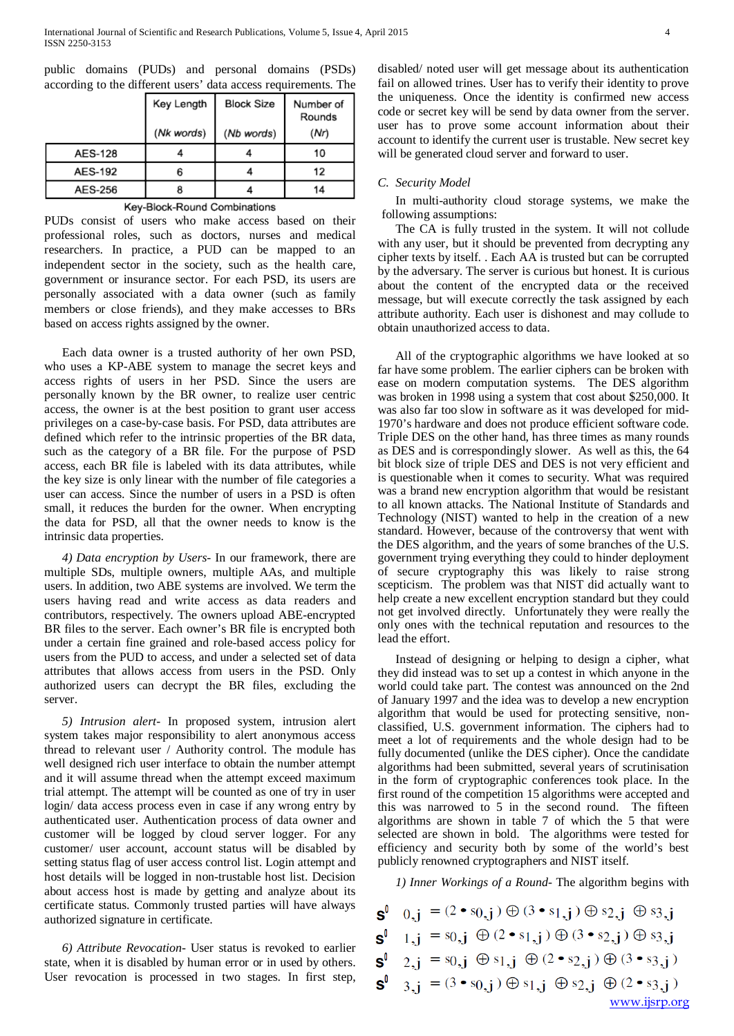public domains (PUDs) and personal domains (PSDs) according to the different users' data access requirements. The

|                | Key Length<br>(Nk words) | <b>Block Size</b><br>(Nb words) | Number of<br>Rounds<br>(Nr) |
|----------------|--------------------------|---------------------------------|-----------------------------|
| AES-128        |                          |                                 | 10                          |
| <b>AES-192</b> | 6                        |                                 | 12                          |
| AES-256        |                          |                                 | 14                          |

## Key-Block-Round Combinations

PUDs consist of users who make access based on their professional roles, such as doctors, nurses and medical researchers. In practice, a PUD can be mapped to an independent sector in the society, such as the health care, government or insurance sector. For each PSD, its users are personally associated with a data owner (such as family members or close friends), and they make accesses to BRs based on access rights assigned by the owner.

Each data owner is a trusted authority of her own PSD, who uses a KP-ABE system to manage the secret keys and access rights of users in her PSD. Since the users are personally known by the BR owner, to realize user centric access, the owner is at the best position to grant user access privileges on a case-by-case basis. For PSD, data attributes are defined which refer to the intrinsic properties of the BR data, such as the category of a BR file. For the purpose of PSD access, each BR file is labeled with its data attributes, while the key size is only linear with the number of file categories a user can access. Since the number of users in a PSD is often small, it reduces the burden for the owner. When encrypting the data for PSD, all that the owner needs to know is the intrinsic data properties.

*4) Data encryption by Users-* In our framework, there are multiple SDs, multiple owners, multiple AAs, and multiple users. In addition, two ABE systems are involved. We term the users having read and write access as data readers and contributors, respectively. The owners upload ABE-encrypted BR files to the server. Each owner's BR file is encrypted both under a certain fine grained and role-based access policy for users from the PUD to access, and under a selected set of data attributes that allows access from users in the PSD. Only authorized users can decrypt the BR files, excluding the server.

*5) Intrusion alert-* In proposed system, intrusion alert system takes major responsibility to alert anonymous access thread to relevant user / Authority control. The module has well designed rich user interface to obtain the number attempt and it will assume thread when the attempt exceed maximum trial attempt. The attempt will be counted as one of try in user login/ data access process even in case if any wrong entry by authenticated user. Authentication process of data owner and customer will be logged by cloud server logger. For any customer/ user account, account status will be disabled by setting status flag of user access control list. Login attempt and host details will be logged in non-trustable host list. Decision about access host is made by getting and analyze about its certificate status. Commonly trusted parties will have always authorized signature in certificate.

*6) Attribute Revocation-* User status is revoked to earlier state, when it is disabled by human error or in used by others. User revocation is processed in two stages. In first step, disabled/ noted user will get message about its authentication fail on allowed trines. User has to verify their identity to prove the uniqueness. Once the identity is confirmed new access code or secret key will be send by data owner from the server. user has to prove some account information about their account to identify the current user is trustable. New secret key will be generated cloud server and forward to user.

#### *C. Security Model*

In multi-authority cloud storage systems, we make the following assumptions:

The CA is fully trusted in the system. It will not collude with any user, but it should be prevented from decrypting any cipher texts by itself. . Each AA is trusted but can be corrupted by the adversary. The server is curious but honest. It is curious about the content of the encrypted data or the received message, but will execute correctly the task assigned by each attribute authority. Each user is dishonest and may collude to obtain unauthorized access to data.

All of the cryptographic algorithms we have looked at so far have some problem. The earlier ciphers can be broken with ease on modern computation systems. The DES algorithm was broken in 1998 using a system that cost about \$250,000. It was also far too slow in software as it was developed for mid-1970's hardware and does not produce efficient software code. Triple DES on the other hand, has three times as many rounds as DES and is correspondingly slower. As well as this, the 64 bit block size of triple DES and DES is not very efficient and is questionable when it comes to security. What was required was a brand new encryption algorithm that would be resistant to all known attacks. The National Institute of Standards and Technology (NIST) wanted to help in the creation of a new standard. However, because of the controversy that went with the DES algorithm, and the years of some branches of the U.S. government trying everything they could to hinder deployment of secure cryptography this was likely to raise strong scepticism. The problem was that NIST did actually want to help create a new excellent encryption standard but they could not get involved directly. Unfortunately they were really the only ones with the technical reputation and resources to the lead the effort.

Instead of designing or helping to design a cipher, what they did instead was to set up a contest in which anyone in the world could take part. The contest was announced on the 2nd of January 1997 and the idea was to develop a new encryption algorithm that would be used for protecting sensitive, nonclassified, U.S. government information. The ciphers had to meet a lot of requirements and the whole design had to be fully documented (unlike the DES cipher). Once the candidate algorithms had been submitted, several years of scrutinisation in the form of cryptographic conferences took place. In the first round of the competition 15 algorithms were accepted and this was narrowed to 5 in the second round. The fifteen algorithms are shown in table 7 of which the 5 that were selected are shown in bold. The algorithms were tested for efficiency and security both by some of the world's best publicly renowned cryptographers and NIST itself.

*1) Inner Workings of a Round-* The algorithm begins with

 $\mathbf{s}^{\mathbf{0}}$  0,j =  $(2 \cdot s_{0,i}) \oplus (3 \cdot s_{1,i}) \oplus s_{2,i} \oplus s_{3,i}$  $s^{0}$  1,  $j = s0, j \oplus (2 \cdot s_{1}, j) \oplus (3 \cdot s_{2}, j) \oplus s_{3}, j$  $2, j = s0, j \oplus s1, j \oplus (2 \cdot s2, j) \oplus (3 \cdot s3, j)$  $\mathbf{s}^{\mathbf{0}}$  $3_{1} = (3 \cdot s_{0,1}) \oplus s_{1,1} \oplus s_{2,1} \oplus (2 \cdot s_{3,1})$ [www.ijsrp.org](http://ijsrp.org/)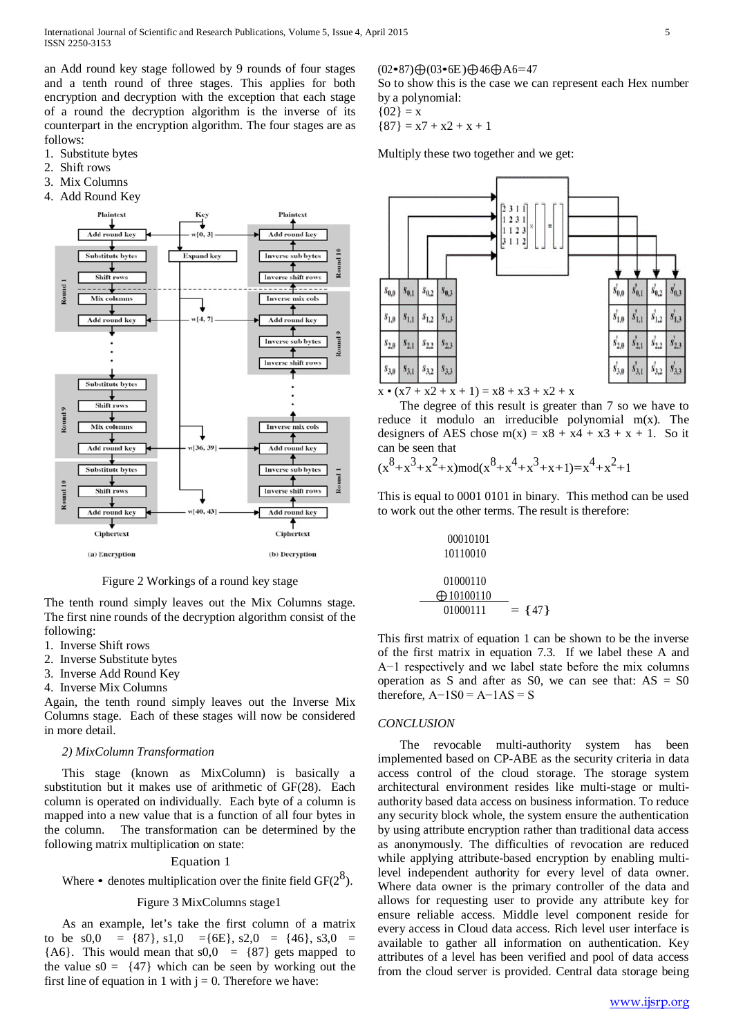International Journal of Scientific and Research Publications, Volume 5, Issue 4, April 2015 5 ISSN 2250-3153

an Add round key stage followed by 9 rounds of four stages and a tenth round of three stages. This applies for both encryption and decryption with the exception that each stage of a round the decryption algorithm is the inverse of its counterpart in the encryption algorithm. The four stages are as follows:

- 1. Substitute bytes
- 2. Shift rows
- 3. Mix Columns
- 4. Add Round Key



Figure 2 Workings of a round key stage

The tenth round simply leaves out the Mix Columns stage. The first nine rounds of the decryption algorithm consist of the following:

- 1. Inverse Shift rows
- 2. Inverse Substitute bytes
- 3. Inverse Add Round Key
- 4. Inverse Mix Columns

Again, the tenth round simply leaves out the Inverse Mix Columns stage. Each of these stages will now be considered in more detail.

#### *2) MixColumn Transformation*

This stage (known as MixColumn) is basically a substitution but it makes use of arithmetic of GF(28). Each column is operated on individually. Each byte of a column is mapped into a new value that is a function of all four bytes in the column. The transformation can be determined by the following matrix multiplication on state:

## Equation 1

Where • denotes multiplication over the finite field  $GF(2^8)$ .

## Figure 3 MixColumns stage1

As an example, let's take the first column of a matrix to be s0,0 = {87}, s1,0 ={6E}, s2,0 = {46}, s3,0 =  ${A6}$ . This would mean that  $s0,0 = {87}$  gets mapped to the value  $s0 = \{47\}$  which can be seen by working out the first line of equation in 1 with  $j = 0$ . Therefore we have:

## (02•87)⊕(03•6E)⊕46⊕A6=47

So to show this is the case we can represent each Hex number by a polynomial:

$$
\{02\} = x
$$

 ${87} = x7 + x2 + x + 1$ 

Multiply these two together and we get:



 $x \cdot (x7 + x2 + x + 1) = x8 + x3 + x2 + x$ 

The degree of this result is greater than 7 so we have to reduce it modulo an irreducible polynomial m(x). The designers of AES chose  $m(x) = x8 + x4 + x3 + x + 1$ . So it can be seen that

$$
(x8+x3+x2+x)mod(x8+x4+x3+x+1)=x4+x2+1
$$

This is equal to 0001 0101 in binary. This method can be used to work out the other terms. The result is therefore:

$$
\begin{array}{r}\n00010101 \\
10110010 \\
\hline\n01000110 \\
\hline\n01000111 \\
= {47} \n\end{array}
$$

This first matrix of equation 1 can be shown to be the inverse of the first matrix in equation 7.3. If we label these A and A−1 respectively and we label state before the mix columns operation as S and after as S0, we can see that:  $AS = SO$ therefore,  $A-1S0 = A-1AS = S$ 

# *CONCLUSION*

The revocable multi-authority system has been implemented based on CP-ABE as the security criteria in data access control of the cloud storage. The storage system architectural environment resides like multi-stage or multiauthority based data access on business information. To reduce any security block whole, the system ensure the authentication by using attribute encryption rather than traditional data access as anonymously. The difficulties of revocation are reduced while applying attribute-based encryption by enabling multilevel independent authority for every level of data owner. Where data owner is the primary controller of the data and allows for requesting user to provide any attribute key for ensure reliable access. Middle level component reside for every access in Cloud data access. Rich level user interface is available to gather all information on authentication. Key attributes of a level has been verified and pool of data access from the cloud server is provided. Central data storage being